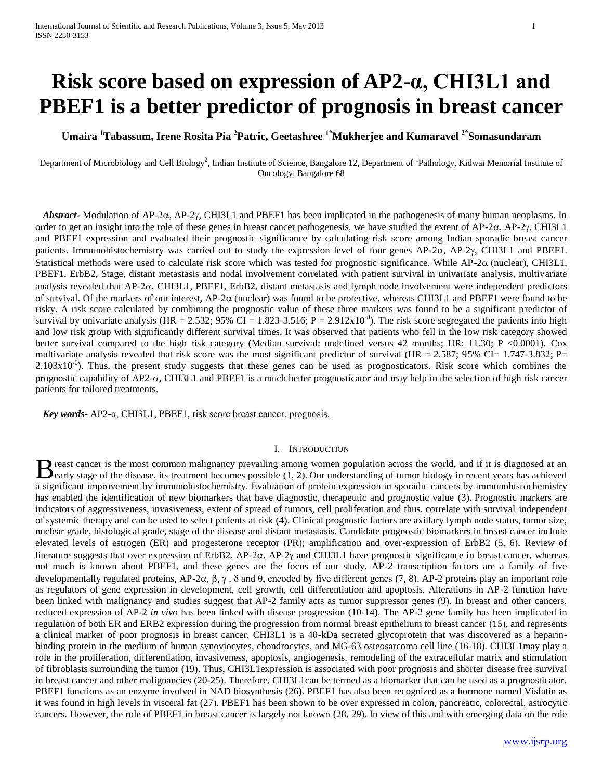# **Risk score based on expression of AP2-α, CHI3L1 and PBEF1 is a better predictor of prognosis in breast cancer**

**Umaira <sup>1</sup>Tabassum, Irene Rosita Pia <sup>2</sup>Patric, Geetashree 1\*Mukherjee and Kumaravel 2\*Somasundaram**

Department of Microbiology and Cell Biology<sup>2</sup>, Indian Institute of Science, Bangalore 12, Department of <sup>1</sup>Pathology, Kidwai Memorial Institute of Oncology, Bangalore 68

*Abstract-* Modulation of AP-2 $\alpha$ , AP-2 $\gamma$ , CHI3L1 and PBEF1 has been implicated in the pathogenesis of many human neoplasms. In order to get an insight into the role of these genes in breast cancer pathogenesis, we have studied the extent of AP-2 $\alpha$ , AP-2 $\gamma$ , CHI3L1 and PBEF1 expression and evaluated their prognostic significance by calculating risk score among Indian sporadic breast cancer patients. Immunohistochemistry was carried out to study the expression level of four genes  $AP-2\alpha$ ,  $AP-2\gamma$ , CHI3L1 and PBEF1. Statistical methods were used to calculate risk score which was tested for prognostic significance. While AP-2 $\alpha$  (nuclear), CHI3L1, PBEF1, ErbB2, Stage, distant metastasis and nodal involvement correlated with patient survival in univariate analysis, multivariate analysis revealed that  $AP-2\alpha$ , CHI3L1, PBEF1, ErbB2, distant metastasis and lymph node involvement were independent predictors of survival. Of the markers of our interest,  $AP-2\alpha$  (nuclear) was found to be protective, whereas CHI3L1 and PBEF1 were found to be risky. A risk score calculated by combining the prognostic value of these three markers was found to be a significant predictor of survival by univariate analysis (HR = 2.532; 95% CI = 1.823-3.516; P = 2.912x10<sup>-8</sup>). The risk score segregated the patients into high and low risk group with significantly different survival times. It was observed that patients who fell in the low risk category showed better survival compared to the high risk category (Median survival: undefined versus 42 months; HR: 11.30; P <0.0001). Cox multivariate analysis revealed that risk score was the most significant predictor of survival (HR = 2.587; 95% CI= 1.747-3.832; P=  $2.103x10^{-6}$ ). Thus, the present study suggests that these genes can be used as prognosticators. Risk score which combines the prognostic capability of AP2- $\alpha$ , CHI3L1 and PBEF1 is a much better prognosticator and may help in the selection of high risk cancer patients for tailored treatments.

 *Key words*- AP2-α, CHI3L1, PBEF1, risk score breast cancer, prognosis.

## I. INTRODUCTION

reast cancer is the most common malignancy prevailing among women population across the world, and if it is diagnosed at an B reast cancer is the most common malignancy prevailing among women population across the world, and if it is diagnosed at an early stage of the disease, its treatment becomes possible [\(1,](#page-4-0) [2\)](#page-4-1). Our understanding of tumor bi a significant improvement by immunohistochemistry. Evaluation of protein expression in sporadic cancers by immunohistochemistry has enabled the identification of new biomarkers that have diagnostic, therapeutic and prognostic value [\(3\)](#page-4-2). Prognostic markers are indicators of aggressiveness, invasiveness, extent of spread of tumors, cell proliferation and thus, correlate with survival independent of systemic therapy and can be used to select patients at risk [\(4\)](#page-5-0). Clinical prognostic factors are axillary lymph node status, tumor size, nuclear grade, histological grade, stage of the disease and distant metastasis. Candidate prognostic biomarkers in breast cancer include elevated levels of estrogen (ER) and progesterone receptor (PR); amplification and over-expression of ErbB2 [\(5,](#page-5-1) [6\)](#page-5-2). Review of literature suggests that over expression of ErbB2, AP-2 $\alpha$ , AP-2 $\gamma$  and CHI3L1 have prognostic significance in breast cancer, whereas not much is known about PBEF1, and these genes are the focus of our study. AP-2 transcription factors are a family of five developmentally regulated proteins, AP-2α, β, γ, δ and θ, encoded by five different genes [\(7,](#page-5-3) [8\)](#page-5-4). AP-2 proteins play an important role as regulators of gene expression in development, cell growth, cell differentiation and apoptosis. Alterations in AP-2 function have been linked with malignancy and studies suggest that AP-2 family acts as tumor suppressor genes [\(9\)](#page-5-5). In breast and other cancers, reduced expression of AP-2 *in vivo* has been linked with disease progression [\(10-14\)](#page-5-6). The AP-2 gene family has been implicated in regulation of both ER and ERB2 expression during the progression from normal breast epithelium to breast cancer [\(15\)](#page-5-7), and represents a clinical marker of poor prognosis in breast cancer. CHI3L1 is a 40-kDa secreted glycoprotein that was discovered as a heparinbinding protein in the medium of human synoviocytes, chondrocytes, and MG-63 osteosarcoma cell line [\(16-18\)](#page-5-8). CHI3L1may play a role in the proliferation, differentiation, invasiveness, apoptosis, angiogenesis, remodeling of the extracellular matrix and stimulation of fibroblasts surrounding the tumor [\(19\)](#page-5-9). Thus, CHI3L1expression is associated with poor prognosis and shorter disease free survival in breast cancer and other malignancies [\(20-25\)](#page-5-10). Therefore, CHI3L1can be termed as a biomarker that can be used as a prognosticator. PBEF1 functions as an enzyme involved in NAD biosynthesis [\(26\)](#page-5-11). PBEF1 has also been recognized as a hormone named Visfatin as it was found in high levels in visceral fat [\(27\)](#page-5-12). PBEF1 has been shown to be over expressed in colon, pancreatic, colorectal, astrocytic cancers. However, the role of PBEF1 in breast cancer is largely not known [\(28,](#page-5-13) [29\)](#page-5-14). In view of this and with emerging data on the role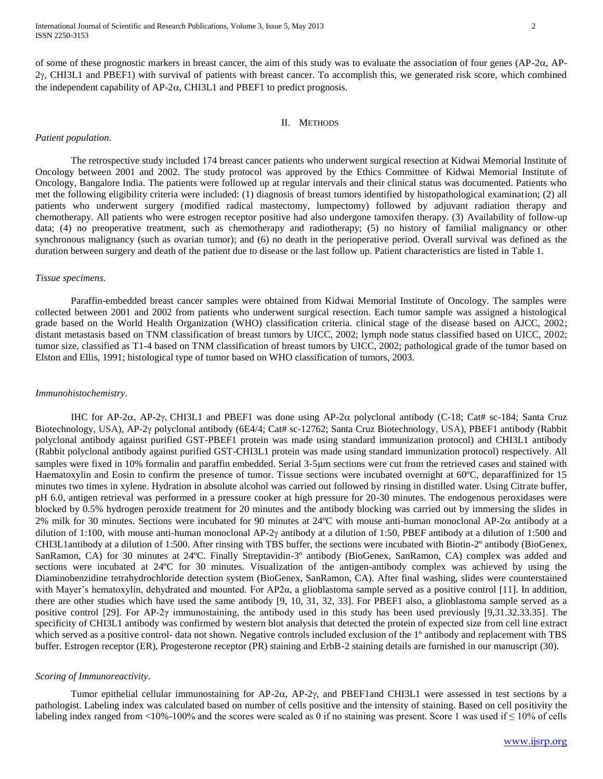of some of these prognostic markers in breast cancer, the aim of this study was to evaluate the association of four genes  $AP-2\alpha$ , AP- $2y$ , CHI3L1 and PBEF1) with survival of patients with breast cancer. To accomplish this, we generated risk score, which combined the independent capability of  $AP-2\alpha$ , CHI3L1 and PBEF1 to predict prognosis.

#### II. METHODS

#### *Patient population.*

The retrospective study included 174 breast cancer patients who underwent surgical resection at Kidwai Memorial Institute of Oncology between 2001 and 2002. The study protocol was approved by the Ethics Committee of Kidwai Memorial Institute of Oncology, Bangalore India. The patients were followed up at regular intervals and their clinical status was documented. Patients who met the following eligibility criteria were included: (1) diagnosis of breast tumors identified by histopathological examination; (2) all patients who underwent surgery (modified radical mastectomy, lumpectomy) followed by adjuvant radiation therapy and chemotherapy. All patients who were estrogen receptor positive had also undergone tamoxifen therapy. (3) Availability of follow-up data; (4) no preoperative treatment, such as chemotherapy and radiotherapy; (5) no history of familial malignancy or other synchronous malignancy (such as ovarian tumor); and (6) no death in the perioperative period. Overall survival was defined as the duration between surgery and death of the patient due to disease or the last follow up. Patient characteristics are listed in Table 1.

## *Tissue specimens.*

Paraffin-embedded breast cancer samples were obtained from Kidwai Memorial Institute of Oncology. The samples were collected between 2001 and 2002 from patients who underwent surgical resection. Each tumor sample was assigned a histological grade based on the World Health Organization (WHO) classification criteria. clinical stage of the disease based on AJCC, 2002; distant metastasis based on TNM classification of breast tumors by UICC, 2002; lymph node status classified based on UICC, 2002; tumor size, classified as T1-4 based on TNM classification of breast tumors by UICC, 2002; pathological grade of the tumor based on Elston and Ellis, 1991; histological type of tumor based on WHO classification of tumors, 2003.

## *Immunohistochemistry.*

IHC for AP-2 $\alpha$ , AP-2 $\gamma$ , CHI3L1 and PBEF1 was done using AP-2 $\alpha$  polyclonal antibody (C-18; Cat# sc-184; Santa Cruz Biotechnology, USA), AP-2 $\gamma$  polyclonal antibody (6E4/4; Cat# sc-12762; Santa Cruz Biotechnology, USA), PBEF1 antibody (Rabbit polyclonal antibody against purified GST-PBEF1 protein was made using standard immunization protocol) and CHI3L1 antibody (Rabbit polyclonal antibody against purified GST-CHI3L1 protein was made using standard immunization protocol) respectively. All samples were fixed in 10% formalin and paraffin embedded. Serial 3-5µm sections were cut from the retrieved cases and stained with Haematoxylin and Eosin to confirm the presence of tumor. Tissue sections were incubated overnight at 60ºC, deparaffinized for 15 minutes two times in xylene. Hydration in absolute alcohol was carried out followed by rinsing in distilled water. Using Citrate buffer, pH 6.0, antigen retrieval was performed in a pressure cooker at high pressure for 20-30 minutes. The endogenous peroxidases were blocked by 0.5% hydrogen peroxide treatment for 20 minutes and the antibody blocking was carried out by immersing the slides in 2% milk for 30 minutes. Sections were incubated for 90 minutes at  $24^{\circ}$ C with mouse anti-human monoclonal AP-2 $\alpha$  antibody at a dilution of 1:100, with mouse anti-human monoclonal AP-2 $\gamma$  antibody at a dilution of 1:50, PBEF antibody at a dilution of 1:500 and CHI3L1antibody at a dilution of 1:500. After rinsing with TBS buffer, the sections were incubated with Biotin-2º antibody (BioGenex, SanRamon, CA) for 30 minutes at 24ºC. Finally Streptavidin-3º antibody (BioGenex, SanRamon, CA) complex was added and sections were incubated at 24ºC for 30 minutes. Visualization of the antigen-antibody complex was achieved by using the Diaminobenzidine tetrahydrochloride detection system (BioGenex, SanRamon, CA). After final washing, slides were counterstained with Mayer's hematoxylin, dehydrated and mounted. For AP2α, a glioblastoma sample served as a positive control [11]. In addition, there are other studies which have used the same antibody [9, 10, 31, 32, 33]. For PBEF1 also, a glioblastoma sample served as a positive control [29]. For AP-2γ immunostaining, the antibody used in this study has been used previously [9,31.32.33.35]. The specificity of CHI3L1 antibody was confirmed by western blot analysis that detected the protein of expected size from cell line extract which served as a positive control- data not shown. Negative controls included exclusion of the 1<sup>°</sup> antibody and replacement with TBS buffer. Estrogen receptor (ER), Progesterone receptor (PR) staining and ErbB-2 staining details are furnished in our manuscript [\(30\)](#page-5-15).

#### *Scoring of Immunoreactivity.*

Tumor epithelial cellular immunostaining for AP-2 $\alpha$ , AP-2 $\gamma$ , and PBEF1and CHI3L1 were assessed in test sections by a pathologist. Labeling index was calculated based on number of cells positive and the intensity of staining. Based on cell positivity the labeling index ranged from <10%-100% and the scores were scaled as 0 if no staining was present. Score 1 was used if  $\leq 10\%$  of cells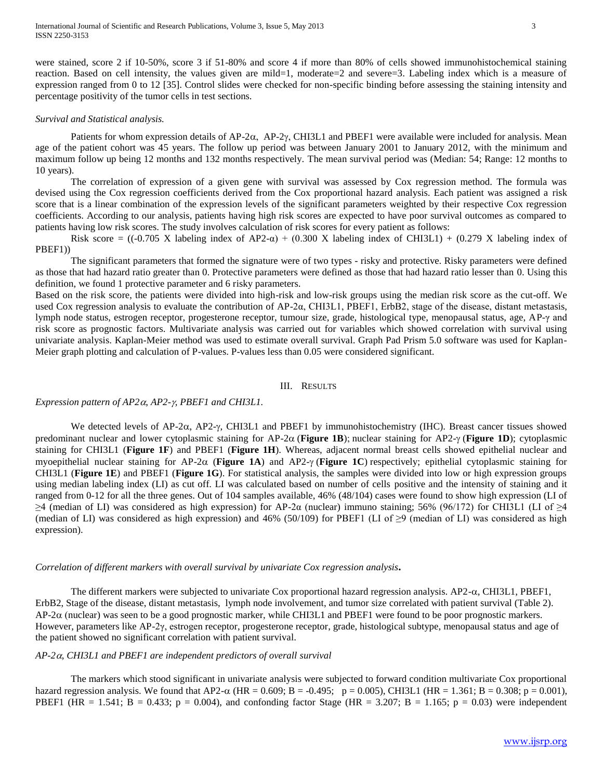were stained, score 2 if 10-50%, score 3 if 51-80% and score 4 if more than 80% of cells showed immunohistochemical staining reaction. Based on cell intensity, the values given are mild=1, moderate=2 and severe=3. Labeling index which is a measure of expression ranged from 0 to 12 [35]. Control slides were checked for non-specific binding before assessing the staining intensity and percentage positivity of the tumor cells in test sections.

## *Survival and Statistical analysis.*

Patients for whom expression details of  $AP-2\alpha$ ,  $AP-2\gamma$ , CHI3L1 and PBEF1 were available were included for analysis. Mean age of the patient cohort was 45 years. The follow up period was between January 2001 to January 2012, with the minimum and maximum follow up being 12 months and 132 months respectively. The mean survival period was (Median: 54; Range: 12 months to 10 years).

The correlation of expression of a given gene with survival was assessed by Cox regression method. The formula was devised using the Cox regression coefficients derived from the Cox proportional hazard analysis. Each patient was assigned a risk score that is a linear combination of the expression levels of the significant parameters weighted by their respective Cox regression coefficients. According to our analysis, patients having high risk scores are expected to have poor survival outcomes as compared to patients having low risk scores. The study involves calculation of risk scores for every patient as follows:

Risk score =  $((-0.705 \text{ X} \text{ labeling index of AP2-}\alpha) + (0.300 \text{ X} \text{ labeling index of CHI3L1}) + (0.279 \text{ X} \text{ labeling index of } \alpha)$ PBEF1))

The significant parameters that formed the signature were of two types - risky and protective. Risky parameters were defined as those that had hazard ratio greater than 0. Protective parameters were defined as those that had hazard ratio lesser than 0. Using this definition, we found 1 protective parameter and 6 risky parameters.

Based on the risk score, the patients were divided into high-risk and low-risk groups using the median risk score as the cut-off. We used Cox regression analysis to evaluate the contribution of AP-2α, CHI3L1, PBEF1, ErbB2, stage of the disease, distant metastasis, lymph node status, estrogen receptor, progesterone receptor, tumour size, grade, histological type, menopausal status, age, AP-γ and risk score as prognostic factors. Multivariate analysis was carried out for variables which showed correlation with survival using univariate analysis. Kaplan-Meier method was used to estimate overall survival. Graph Pad Prism 5.0 software was used for Kaplan-Meier graph plotting and calculation of P-values. P-values less than 0.05 were considered significant.

#### III. RESULTS

#### *Expression pattern of AP2α, AP2-γ, PBEF1 and CHI3L1.*

We detected levels of AP-2 $\alpha$ , AP2- $\gamma$ , CHI3L1 and PBEF1 by immunohistochemistry (IHC). Breast cancer tissues showed predominant nuclear and lower cytoplasmic staining for  $AP-2\alpha$  (**Figure 1B**); nuclear staining for  $AP2-\gamma$  (**Figure 1D**); cytoplasmic staining for CHI3L1 (**Figure 1F**) and PBEF1 (**Figure 1H**). Whereas, adjacent normal breast cells showed epithelial nuclear and myoepithelial nuclear staining for  $AP-2\alpha$  (**Figure 1A**) and  $AP2-\gamma$  (**Figure 1C**) respectively; epithelial cytoplasmic staining for CHI3L1 (**Figure 1E**) and PBEF1 (**Figure 1G**). For statistical analysis, the samples were divided into low or high expression groups using median labeling index (LI) as cut off. LI was calculated based on number of cells positive and the intensity of staining and it ranged from 0-12 for all the three genes. Out of 104 samples available, 46% (48/104) cases were found to show high expression (LI of  $\geq$ 4 (median of LI) was considered as high expression) for AP-2 $\alpha$  (nuclear) immuno staining; 56% (96/172) for CHI3L1 (LI of  $\geq$ 4 (median of LI) was considered as high expression) and 46% (50/109) for PBEF1 (LI of  $\geq$ 9 (median of LI) was considered as high expression).

# *Correlation of different markers with overall survival by univariate Cox regression analysis***.**

The different markers were subjected to univariate Cox proportional hazard regression analysis. AP2- $\alpha$ , CHI3L1, PBEF1, ErbB2, Stage of the disease, distant metastasis, lymph node involvement, and tumor size correlated with patient survival (Table 2).  $AP-2\alpha$  (nuclear) was seen to be a good prognostic marker, while CHI3L1 and PBEF1 were found to be poor prognostic markers. However, parameters like AP-2γ, estrogen receptor, progesterone receptor, grade, histological subtype, menopausal status and age of the patient showed no significant correlation with patient survival.

# *AP-2, CHI3L1 and PBEF1 are independent predictors of overall survival*

The markers which stood significant in univariate analysis were subjected to forward condition multivariate Cox proportional hazard regression analysis. We found that AP2- $\alpha$  (HR = 0.609; B = -0.495; p = 0.005), CHI3L1 (HR = 1.361; B = 0.308; p = 0.001), PBEF1 (HR = 1.541; B = 0.433; p = 0.004), and confonding factor Stage (HR = 3.207; B = 1.165; p = 0.03) were independent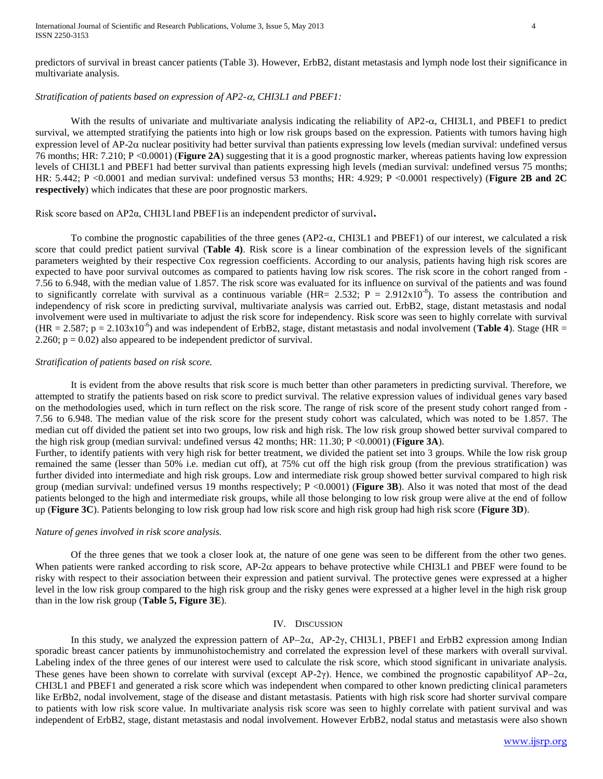# *Stratification of patients based on expression of AP2-CHI3L1 and PBEF1:*

With the results of univariate and multivariate analysis indicating the reliability of  $AP2-\alpha$ , CHI3L1, and PBEF1 to predict survival, we attempted stratifying the patients into high or low risk groups based on the expression. Patients with tumors having high expression level of  $AP-2\alpha$  nuclear positivity had better survival than patients expressing low levels (median survival: undefined versus 76 months; HR: 7.210; P <0.0001) (**Figure 2A**) suggesting that it is a good prognostic marker, whereas patients having low expression levels of CHI3L1 and PBEF1 had better survival than patients expressing high levels (median survival: undefined versus 75 months; HR: 5.442; P <0.0001 and median survival: undefined versus 53 months; HR: 4.929; P <0.0001 respectively) (**Figure 2B and 2C respectively**) which indicates that these are poor prognostic markers.

Risk score based on AP2α, CHI3L1and PBEF1is an independent predictor of survival**.**

To combine the prognostic capabilities of the three genes  $(AP2-\alpha, CHI3L1$  and PBEF1) of our interest, we calculated a risk score that could predict patient survival (**Table 4)**. Risk score is a linear combination of the expression levels of the significant parameters weighted by their respective Cox regression coefficients. According to our analysis, patients having high risk scores are expected to have poor survival outcomes as compared to patients having low risk scores. The risk score in the cohort ranged from - 7.56 to 6.948, with the median value of 1.857. The risk score was evaluated for its influence on survival of the patients and was found to significantly correlate with survival as a continuous variable (HR= 2.532; P = 2.912x10<sup>-8</sup>). To assess the contribution and independency of risk score in predicting survival, multivariate analysis was carried out. ErbB2, stage, distant metastasis and nodal involvement were used in multivariate to adjust the risk score for independency. Risk score was seen to highly correlate with survival  $(HR = 2.587; p = 2.103 \times 10^{-6})$  and was independent of ErbB2, stage, distant metastasis and nodal involvement (**Table 4**). Stage (HR = 2.260;  $p = 0.02$ ) also appeared to be independent predictor of survival.

## *Stratification of patients based on risk score.*

It is evident from the above results that risk score is much better than other parameters in predicting survival. Therefore, we attempted to stratify the patients based on risk score to predict survival. The relative expression values of individual genes vary based on the methodologies used, which in turn reflect on the risk score. The range of risk score of the present study cohort ranged from - 7.56 to 6.948. The median value of the risk score for the present study cohort was calculated, which was noted to be 1.857. The median cut off divided the patient set into two groups, low risk and high risk. The low risk group showed better survival compared to the high risk group (median survival: undefined versus 42 months; HR: 11.30; P <0.0001) (**Figure 3A**).

Further, to identify patients with very high risk for better treatment, we divided the patient set into 3 groups. While the low risk group remained the same (lesser than 50% i.e. median cut off), at 75% cut off the high risk group (from the previous stratification) was further divided into intermediate and high risk groups. Low and intermediate risk group showed better survival compared to high risk group (median survival: undefined versus 19 months respectively; P <0.0001) (**Figure 3B**). Also it was noted that most of the dead patients belonged to the high and intermediate risk groups, while all those belonging to low risk group were alive at the end of follow up (**Figure 3C**). Patients belonging to low risk group had low risk score and high risk group had high risk score (**Figure 3D**).

## *Nature of genes involved in risk score analysis.*

Of the three genes that we took a closer look at, the nature of one gene was seen to be different from the other two genes. When patients were ranked according to risk score, AP-2 $\alpha$  appears to behave protective while CHI3L1 and PBEF were found to be risky with respect to their association between their expression and patient survival. The protective genes were expressed at a higher level in the low risk group compared to the high risk group and the risky genes were expressed at a higher level in the high risk group than in the low risk group (**Table 5, Figure 3E**).

## IV. DISCUSSION

In this study, we analyzed the expression pattern of  $AP-2\alpha$ ,  $AP-2\gamma$ , CHI3L1, PBEF1 and ErbB2 expression among Indian sporadic breast cancer patients by immunohistochemistry and correlated the expression level of these markers with overall survival. Labeling index of the three genes of our interest were used to calculate the risk score, which stood significant in univariate analysis. These genes have been shown to correlate with survival (except AP-2 $\gamma$ ). Hence, we combined the prognostic capability of AP-2 $\alpha$ , CHI3L1 and PBEF1 and generated a risk score which was independent when compared to other known predicting clinical parameters like ErBb2, nodal involvement, stage of the disease and distant metastasis. Patients with high risk score had shorter survival compare to patients with low risk score value. In multivariate analysis risk score was seen to highly correlate with patient survival and was independent of ErbB2, stage, distant metastasis and nodal involvement. However ErbB2, nodal status and metastasis were also shown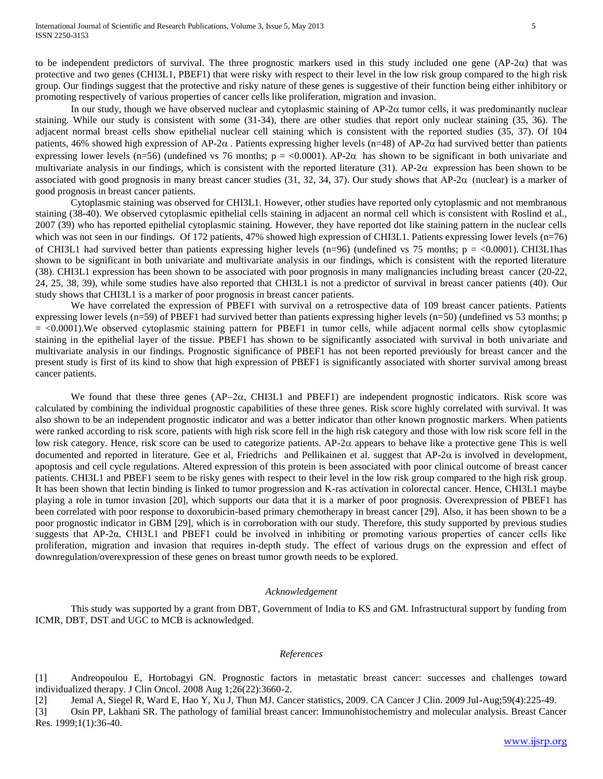to be independent predictors of survival. The three prognostic markers used in this study included one gene  $(AP-2\alpha)$  that was protective and two genes (CHI3L1, PBEF1) that were risky with respect to their level in the low risk group compared to the high risk group. Our findings suggest that the protective and risky nature of these genes is suggestive of their function being either inhibitory or promoting respectively of various properties of cancer cells like proliferation, migration and invasion.

In our study, though we have observed nuclear and cytoplasmic staining of  $AP-2\alpha$  tumor cells, it was predominantly nuclear staining. While our study is consistent with some [\(31-34\)](#page-5-16), there are other studies that report only nuclear staining [\(35,](#page-6-0) [36\)](#page-6-1). The adjacent normal breast cells show epithelial nuclear cell staining which is consistent with the reported studies [\(35,](#page-6-0) [37\)](#page-6-2). Of 104 patients, 46% showed high expression of AP-2 $\alpha$ . Patients expressing higher levels (n=48) of AP-2 $\alpha$  had survived better than patients expressing lower levels (n=56) (undefined vs 76 months;  $p = 0.0001$ ). AP-2 $\alpha$  has shown to be significant in both univariate and multivariate analysis in our findings, which is consistent with the reported literature [\(31\)](#page-5-16). AP-2 $\alpha$  expression has been shown to be associated with good prognosis in many breast cancer studies [\(31,](#page-5-16) [32,](#page-5-17) [34,](#page-6-3) [37\)](#page-6-2). Our study shows that AP-2 $\alpha$  (nuclear) is a marker of good prognosis in breast cancer patients.

Cytoplasmic staining was observed for CHI3L1. However, other studies have reported only cytoplasmic and not membranous staining [\(38-40\)](#page-6-4). We observed cytoplasmic epithelial cells staining in adjacent an normal cell which is consistent with Roslind et al., 2007 [\(39\)](#page-6-5) who has reported epithelial cytoplasmic staining. However, they have reported dot like staining pattern in the nuclear cells which was not seen in our findings. Of 172 patients, 47% showed high expression of CHI3L1. Patients expressing lower levels (n=76) of CHI3L1 had survived better than patients expressing higher levels (n=96) (undefined vs 75 months;  $p = <0.0001$ ). CHI3L1 has shown to be significant in both univariate and multivariate analysis in our findings, which is consistent with the reported literature [\(38\)](#page-6-4). CHI3L1 expression has been shown to be associated with poor prognosis in many malignancies including breast cancer [\(20-22,](#page-5-10) [24,](#page-5-18) [25,](#page-5-19) [38,](#page-6-4) [39\)](#page-6-5), while some studies have also reported that CHI3L1 is not a predictor of survival in breast cancer patients [\(40\)](#page-6-6). Our study shows that CHI3L1 is a marker of poor prognosis in breast cancer patients.

We have correlated the expression of PBEF1 with survival on a retrospective data of 109 breast cancer patients. Patients expressing lower levels (n=59) of PBEF1 had survived better than patients expressing higher levels (n=50) (undefined vs 53 months; p = <0.0001).We observed cytoplasmic staining pattern for PBEF1 in tumor cells, while adjacent normal cells show cytoplasmic staining in the epithelial layer of the tissue. PBEF1 has shown to be significantly associated with survival in both univariate and multivariate analysis in our findings. Prognostic significance of PBEF1 has not been reported previously for breast cancer and the present study is first of its kind to show that high expression of PBEF1 is significantly associated with shorter survival among breast cancer patients.

We found that these three genes (AP-2 $\alpha$ , CHI3L1 and PBEF1) are independent prognostic indicators. Risk score was calculated by combining the individual prognostic capabilities of these three genes. Risk score highly correlated with survival. It was also shown to be an independent prognostic indicator and was a better indicator than other known prognostic markers. When patients were ranked according to risk score, patients with high risk score fell in the high risk category and those with low risk score fell in the low risk category. Hence, risk score can be used to categorize patients. AP-2 $\alpha$  appears to behave like a protective gene This is well documented and reported in literature. Gee et al, Friedrichs and Pellikainen et al. suggest that  $AP-2\alpha$  is involved in development, apoptosis and cell cycle regulations. Altered expression of this protein is been associated with poor clinical outcome of breast cancer patients. CHI3L1 and PBEF1 seem to be risky genes with respect to their level in the low risk group compared to the high risk group. It has been shown that lectin binding is linked to tumor progression and K-ras activation in colorectal cancer. Hence, CHI3L1 maybe playing a role in tumor invasion [20], which supports our data that it is a marker of poor prognosis. Overexpression of PBEF1 has been correlated with poor response to doxorubicin-based primary chemotherapy in breast cancer [29]. Also, it has been shown to be a poor prognostic indicator in GBM [29], which is in corroboration with our study. Therefore, this study supported by previous studies suggests that AP-2α, CHI3L1 and PBEF1 could be involved in inhibiting or promoting various properties of cancer cells like proliferation, migration and invasion that requires in-depth study. The effect of various drugs on the expression and effect of downregulation/overexpression of these genes on breast tumor growth needs to be explored.

## *Acknowledgement*

This study was supported by a grant from DBT, Government of India to KS and GM. Infrastructural support by funding from ICMR, DBT, DST and UGC to MCB is acknowledged.

## *References*

<span id="page-4-0"></span>[1] Andreopoulou E, Hortobagyi GN. Prognostic factors in metastatic breast cancer: successes and challenges toward individualized therapy. J Clin Oncol. 2008 Aug 1;26(22):3660-2.

<span id="page-4-1"></span>[2] Jemal A, Siegel R, Ward E, Hao Y, Xu J, Thun MJ. Cancer statistics, 2009. CA Cancer J Clin. 2009 Jul-Aug;59(4):225-49.

<span id="page-4-2"></span>[3] Osin PP, Lakhani SR. The pathology of familial breast cancer: Immunohistochemistry and molecular analysis. Breast Cancer Res. 1999;1(1):36-40.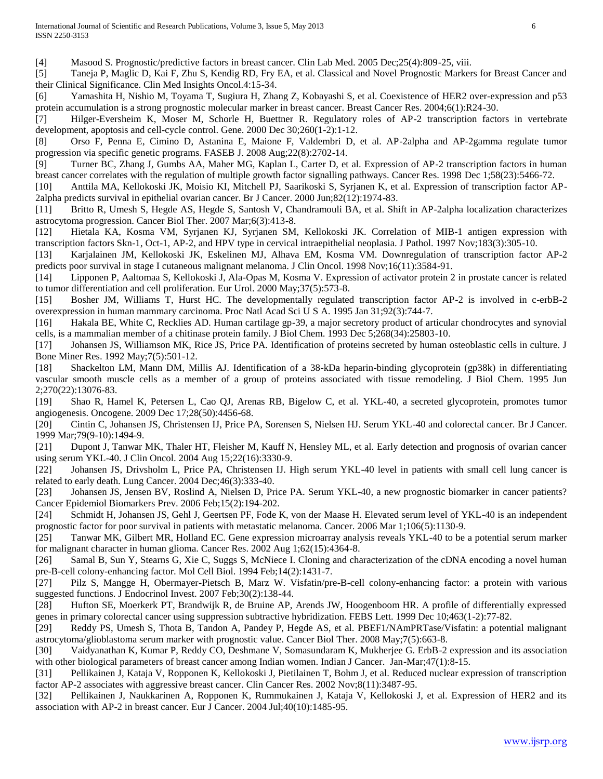<span id="page-5-0"></span>[4] Masood S. Prognostic/predictive factors in breast cancer. Clin Lab Med. 2005 Dec;25(4):809-25, viii.

<span id="page-5-1"></span>[5] Taneja P, Maglic D, Kai F, Zhu S, Kendig RD, Fry EA, et al. Classical and Novel Prognostic Markers for Breast Cancer and their Clinical Significance. Clin Med Insights Oncol.4:15-34.

<span id="page-5-2"></span>[6] Yamashita H, Nishio M, Toyama T, Sugiura H, Zhang Z, Kobayashi S, et al. Coexistence of HER2 over-expression and p53 protein accumulation is a strong prognostic molecular marker in breast cancer. Breast Cancer Res. 2004;6(1):R24-30.

<span id="page-5-3"></span>[7] Hilger-Eversheim K, Moser M, Schorle H, Buettner R. Regulatory roles of AP-2 transcription factors in vertebrate development, apoptosis and cell-cycle control. Gene. 2000 Dec 30;260(1-2):1-12.

<span id="page-5-4"></span>[8] Orso F, Penna E, Cimino D, Astanina E, Maione F, Valdembri D, et al. AP-2alpha and AP-2gamma regulate tumor progression via specific genetic programs. FASEB J. 2008 Aug;22(8):2702-14.

<span id="page-5-5"></span>[9] Turner BC, Zhang J, Gumbs AA, Maher MG, Kaplan L, Carter D, et al. Expression of AP-2 transcription factors in human breast cancer correlates with the regulation of multiple growth factor signalling pathways. Cancer Res. 1998 Dec 1;58(23):5466-72.

<span id="page-5-6"></span>[10] Anttila MA, Kellokoski JK, Moisio KI, Mitchell PJ, Saarikoski S, Syrjanen K, et al. Expression of transcription factor AP-2alpha predicts survival in epithelial ovarian cancer. Br J Cancer. 2000 Jun;82(12):1974-83.

[11] Britto R, Umesh S, Hegde AS, Hegde S, Santosh V, Chandramouli BA, et al. Shift in AP-2alpha localization characterizes astrocytoma progression. Cancer Biol Ther. 2007 Mar;6(3):413-8.

[12] Hietala KA, Kosma VM, Syrjanen KJ, Syrjanen SM, Kellokoski JK. Correlation of MIB-1 antigen expression with transcription factors Skn-1, Oct-1, AP-2, and HPV type in cervical intraepithelial neoplasia. J Pathol. 1997 Nov;183(3):305-10.

[13] Karjalainen JM, Kellokoski JK, Eskelinen MJ, Alhava EM, Kosma VM. Downregulation of transcription factor AP-2 predicts poor survival in stage I cutaneous malignant melanoma. J Clin Oncol. 1998 Nov;16(11):3584-91.

[14] Lipponen P, Aaltomaa S, Kellokoski J, Ala-Opas M, Kosma V. Expression of activator protein 2 in prostate cancer is related to tumor differentiation and cell proliferation. Eur Urol. 2000 May;37(5):573-8.

<span id="page-5-7"></span>[15] Bosher JM, Williams T, Hurst HC. The developmentally regulated transcription factor AP-2 is involved in c-erbB-2 overexpression in human mammary carcinoma. Proc Natl Acad Sci U S A. 1995 Jan 31;92(3):744-7.

<span id="page-5-8"></span>[16] Hakala BE, White C, Recklies AD. Human cartilage gp-39, a major secretory product of articular chondrocytes and synovial cells, is a mammalian member of a chitinase protein family. J Biol Chem. 1993 Dec 5;268(34):25803-10.

[17] Johansen JS, Williamson MK, Rice JS, Price PA. Identification of proteins secreted by human osteoblastic cells in culture. J Bone Miner Res. 1992 May;7(5):501-12.

[18] Shackelton LM, Mann DM, Millis AJ. Identification of a 38-kDa heparin-binding glycoprotein (gp38k) in differentiating vascular smooth muscle cells as a member of a group of proteins associated with tissue remodeling. J Biol Chem. 1995 Jun 2;270(22):13076-83.

<span id="page-5-9"></span>[19] Shao R, Hamel K, Petersen L, Cao QJ, Arenas RB, Bigelow C, et al. YKL-40, a secreted glycoprotein, promotes tumor angiogenesis. Oncogene. 2009 Dec 17;28(50):4456-68.

<span id="page-5-10"></span>[20] Cintin C, Johansen JS, Christensen IJ, Price PA, Sorensen S, Nielsen HJ. Serum YKL-40 and colorectal cancer. Br J Cancer. 1999 Mar;79(9-10):1494-9.

[21] Dupont J, Tanwar MK, Thaler HT, Fleisher M, Kauff N, Hensley ML, et al. Early detection and prognosis of ovarian cancer using serum YKL-40. J Clin Oncol. 2004 Aug 15;22(16):3330-9.

[22] Johansen JS, Drivsholm L, Price PA, Christensen IJ. High serum YKL-40 level in patients with small cell lung cancer is related to early death. Lung Cancer. 2004 Dec;46(3):333-40.

[23] Johansen JS, Jensen BV, Roslind A, Nielsen D, Price PA. Serum YKL-40, a new prognostic biomarker in cancer patients? Cancer Epidemiol Biomarkers Prev. 2006 Feb;15(2):194-202.

<span id="page-5-18"></span>[24] Schmidt H, Johansen JS, Gehl J, Geertsen PF, Fode K, von der Maase H. Elevated serum level of YKL-40 is an independent prognostic factor for poor survival in patients with metastatic melanoma. Cancer. 2006 Mar 1;106(5):1130-9.

<span id="page-5-19"></span>[25] Tanwar MK, Gilbert MR, Holland EC. Gene expression microarray analysis reveals YKL-40 to be a potential serum marker for malignant character in human glioma. Cancer Res. 2002 Aug 1;62(15):4364-8.

<span id="page-5-11"></span>[26] Samal B, Sun Y, Stearns G, Xie C, Suggs S, McNiece I. Cloning and characterization of the cDNA encoding a novel human pre-B-cell colony-enhancing factor. Mol Cell Biol. 1994 Feb;14(2):1431-7.

<span id="page-5-12"></span>[27] Pilz S, Mangge H, Obermayer-Pietsch B, Marz W. Visfatin/pre-B-cell colony-enhancing factor: a protein with various suggested functions. J Endocrinol Invest. 2007 Feb;30(2):138-44.

<span id="page-5-13"></span>[28] Hufton SE, Moerkerk PT, Brandwijk R, de Bruine AP, Arends JW, Hoogenboom HR. A profile of differentially expressed genes in primary colorectal cancer using suppression subtractive hybridization. FEBS Lett. 1999 Dec 10;463(1-2):77-82.

<span id="page-5-14"></span>[29] Reddy PS, Umesh S, Thota B, Tandon A, Pandey P, Hegde AS, et al. PBEF1/NAmPRTase/Visfatin: a potential malignant astrocytoma/glioblastoma serum marker with prognostic value. Cancer Biol Ther. 2008 May;7(5):663-8.

<span id="page-5-15"></span>[30] Vaidyanathan K, Kumar P, Reddy CO, Deshmane V, Somasundaram K, Mukherjee G. ErbB-2 expression and its association with other biological parameters of breast cancer among Indian women. Indian J Cancer. Jan-Mar;47(1):8-15.

<span id="page-5-16"></span>[31] Pellikainen J, Kataja V, Ropponen K, Kellokoski J, Pietilainen T, Bohm J, et al. Reduced nuclear expression of transcription factor AP-2 associates with aggressive breast cancer. Clin Cancer Res. 2002 Nov;8(11):3487-95.

<span id="page-5-17"></span>[32] Pellikainen J, Naukkarinen A, Ropponen K, Rummukainen J, Kataja V, Kellokoski J, et al. Expression of HER2 and its association with AP-2 in breast cancer. Eur J Cancer. 2004 Jul;40(10):1485-95.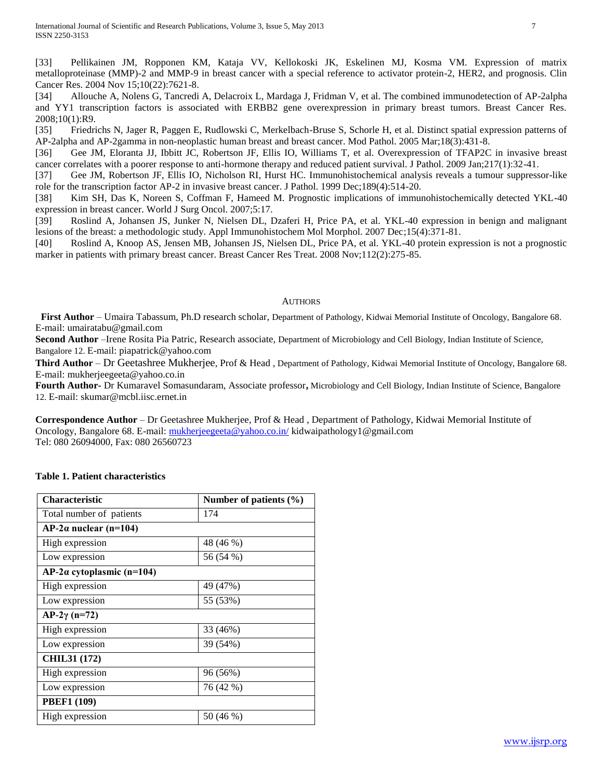[33] Pellikainen JM, Ropponen KM, Kataja VV, Kellokoski JK, Eskelinen MJ, Kosma VM. Expression of matrix metalloproteinase (MMP)-2 and MMP-9 in breast cancer with a special reference to activator protein-2, HER2, and prognosis. Clin Cancer Res. 2004 Nov 15;10(22):7621-8.

<span id="page-6-3"></span>[34] Allouche A, Nolens G, Tancredi A, Delacroix L, Mardaga J, Fridman V, et al. The combined immunodetection of AP-2alpha and YY1 transcription factors is associated with ERBB2 gene overexpression in primary breast tumors. Breast Cancer Res. 2008;10(1):R9.

<span id="page-6-0"></span>[35] Friedrichs N, Jager R, Paggen E, Rudlowski C, Merkelbach-Bruse S, Schorle H, et al. Distinct spatial expression patterns of AP-2alpha and AP-2gamma in non-neoplastic human breast and breast cancer. Mod Pathol. 2005 Mar;18(3):431-8.

<span id="page-6-1"></span>[36] Gee JM, Eloranta JJ, Ibbitt JC, Robertson JF, Ellis IO, Williams T, et al. Overexpression of TFAP2C in invasive breast cancer correlates with a poorer response to anti-hormone therapy and reduced patient survival. J Pathol. 2009 Jan;217(1):32-41.

<span id="page-6-2"></span>[37] Gee JM, Robertson JF, Ellis IO, Nicholson RI, Hurst HC. Immunohistochemical analysis reveals a tumour suppressor-like role for the transcription factor AP-2 in invasive breast cancer. J Pathol. 1999 Dec;189(4):514-20.

<span id="page-6-4"></span>[38] Kim SH, Das K, Noreen S, Coffman F, Hameed M. Prognostic implications of immunohistochemically detected YKL-40 expression in breast cancer. World J Surg Oncol. 2007;5:17.

<span id="page-6-5"></span>[39] Roslind A, Johansen JS, Junker N, Nielsen DL, Dzaferi H, Price PA, et al. YKL-40 expression in benign and malignant lesions of the breast: a methodologic study. Appl Immunohistochem Mol Morphol. 2007 Dec;15(4):371-81.

<span id="page-6-6"></span>[40] Roslind A, Knoop AS, Jensen MB, Johansen JS, Nielsen DL, Price PA, et al. YKL-40 protein expression is not a prognostic marker in patients with primary breast cancer. Breast Cancer Res Treat. 2008 Nov;112(2):275-85.

## **AUTHORS**

**First Author** – Umaira Tabassum, Ph.D research scholar, Department of Pathology, Kidwai Memorial Institute of Oncology, Bangalore 68. E-mail: umairatabu@gmail.com

**Second Author** –Irene Rosita Pia Patric, Research associate, Department of Microbiology and Cell Biology, Indian Institute of Science, Bangalore 12. E-mail: piapatrick@yahoo.com

**Third Author** – Dr Geetashree Mukherjee, Prof & Head , Department of Pathology, Kidwai Memorial Institute of Oncology, Bangalore 68. E-mail: mukherjeegeeta@yahoo.co.in

**Fourth Author-** Dr Kumaravel Somasundaram, Associate professor**,** Microbiology and Cell Biology, Indian Institute of Science, Bangalore 12. E-mail: skumar@mcbl.iisc.ernet.in

**Correspondence Author** – Dr Geetashree Mukherjee, Prof & Head , Department of Pathology, Kidwai Memorial Institute of Oncology, Bangalore 68. E-mail: [mukherjeegeeta@yahoo.co.in/](mailto:mukherjeegeeta@yahoo.co.in/) kidwaipathology1@gmail.com Tel: 080 26094000, Fax: 080 26560723

# **Table 1. Patient characteristics**

| <b>Characteristic</b>            | Number of patients (%) |  |  |
|----------------------------------|------------------------|--|--|
| Total number of patients         | 174                    |  |  |
| $AP-2\alpha$ nuclear (n=104)     |                        |  |  |
| High expression                  | 48 (46 %)              |  |  |
| Low expression                   | 56 (54 %)              |  |  |
| $AP-2\alpha$ cytoplasmic (n=104) |                        |  |  |
| High expression                  | 49 (47%)               |  |  |
| Low expression                   | 55 (53%)               |  |  |
| $AP-2\gamma$ (n=72)              |                        |  |  |
| High expression                  | 33 (46%)               |  |  |
| Low expression                   | 39 (54%)               |  |  |
| <b>CHIL31 (172)</b>              |                        |  |  |
| 96 (56%)<br>High expression      |                        |  |  |
| Low expression                   | 76 (42 %)              |  |  |
| <b>PBEF1 (109)</b>               |                        |  |  |
| High expression                  | 50 (46 %)              |  |  |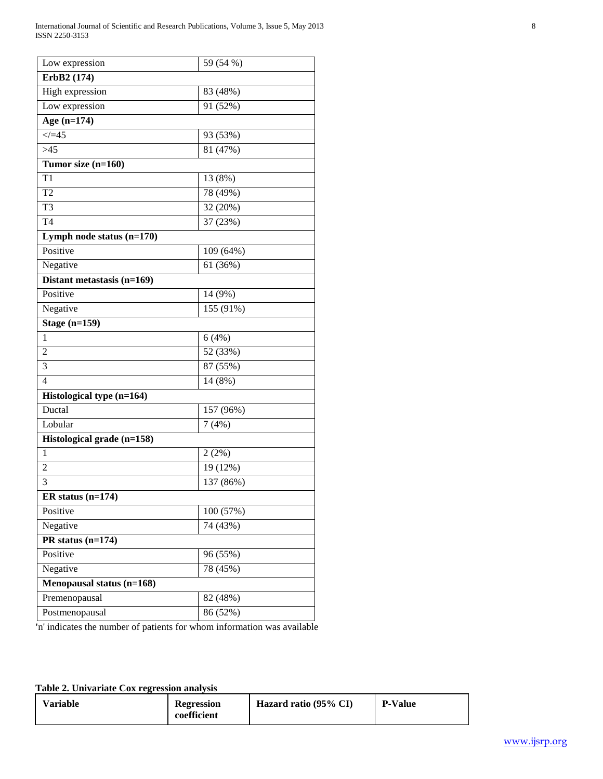| Low expression              | 59 (54 %) |  |  |
|-----------------------------|-----------|--|--|
| ErbB2 (174)                 |           |  |  |
| High expression             | 83 (48%)  |  |  |
| Low expression              | 91 (52%)  |  |  |
| Age $(n=174)$               |           |  |  |
| $\measuredangle = 45$       | 93 (53%)  |  |  |
| $>45$                       | 81 (47%)  |  |  |
| Tumor size (n=160)          |           |  |  |
| T1                          | 13 (8%)   |  |  |
| T <sub>2</sub>              | 78 (49%)  |  |  |
| T <sub>3</sub>              | 32 (20%)  |  |  |
| T <sub>4</sub>              | 37 (23%)  |  |  |
| Lymph node status $(n=170)$ |           |  |  |
| Positive                    | 109 (64%) |  |  |
| Negative                    | 61 (36%)  |  |  |
| Distant metastasis (n=169)  |           |  |  |
| Positive                    | 14 (9%)   |  |  |
| Negative                    | 155 (91%) |  |  |
| Stage $(n=159)$             |           |  |  |
| $\mathbf{1}$                | 6(4%)     |  |  |
| $\overline{2}$              | 52 (33%)  |  |  |
| 3                           | 87 (55%)  |  |  |
| $\overline{4}$              | 14 (8%)   |  |  |
| Histological type (n=164)   |           |  |  |
| Ductal                      | 157 (96%) |  |  |
| Lobular                     | 7(4%)     |  |  |
| Histological grade (n=158)  |           |  |  |
| 1                           | 2(2%)     |  |  |
| $\overline{2}$              | 19 (12%)  |  |  |
| 3                           | 137 (86%) |  |  |
| ER status $(n=174)$         |           |  |  |
| Positive                    | 100 (57%) |  |  |
| Negative                    | 74 (43%)  |  |  |
| PR status $(n=174)$         |           |  |  |
| Positive                    | 96 (55%)  |  |  |
| Negative                    | 78 (45%)  |  |  |
| Menopausal status (n=168)   |           |  |  |
| Premenopausal               | 82 (48%)  |  |  |
| Postmenopausal              | 86 (52%)  |  |  |

**'**n' indicates the number of patients for whom information was available

**Table 2. Univariate Cox regression analysis**

| <b>Variable</b> | <b>Regression</b><br>coefficient | Hazard ratio (95% CI) | <b>P-Value</b> |
|-----------------|----------------------------------|-----------------------|----------------|
|-----------------|----------------------------------|-----------------------|----------------|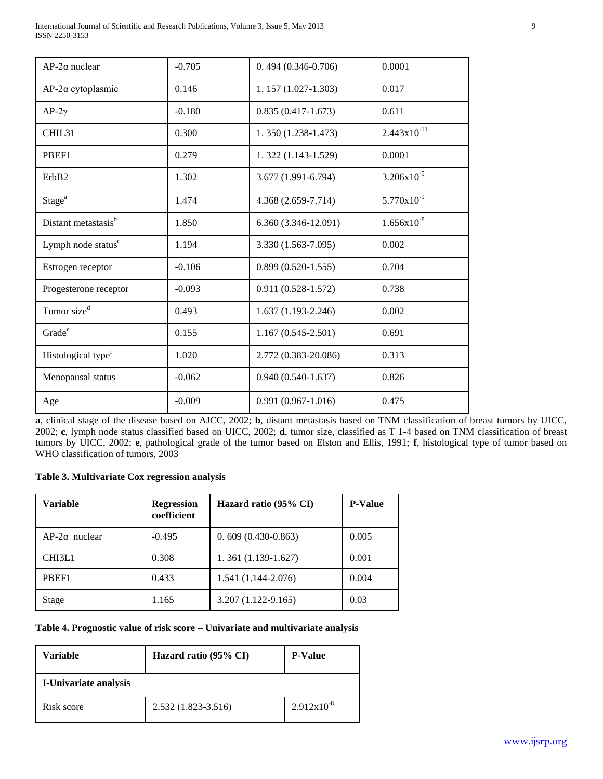International Journal of Scientific and Research Publications, Volume 3, Issue 5, May 2013 9 ISSN 2250-3153

| $AP-2\alpha$ nuclear            | $-0.705$ | $0.494(0.346-0.706)$   | 0.0001           |
|---------------------------------|----------|------------------------|------------------|
| $AP-2\alpha$ cytoplasmic        | 0.146    | $1.157(1.027-1.303)$   | 0.017            |
| $AP-2\gamma$                    | $-0.180$ | $0.835(0.417-1.673)$   | 0.611            |
| CHIL31                          | 0.300    | 1.350 (1.238-1.473)    | $2.443x10^{-11}$ |
| PBEF1                           | 0.279    | 1.322 (1.143-1.529)    | 0.0001           |
| ErbB2                           | 1.302    | 3.677 (1.991-6.794)    | $3.206x10^{-5}$  |
| Stage <sup>a</sup>              | 1.474    | 4.368 (2.659-7.714)    | $5.770x10^{-9}$  |
| Distant metastasis <sup>b</sup> | 1.850    | 6.360 (3.346-12.091)   | $1.656x10^{-8}$  |
| Lymph node status <sup>c</sup>  | 1.194    | 3.330 (1.563-7.095)    | 0.002            |
| Estrogen receptor               | $-0.106$ | $0.899(0.520-1.555)$   | 0.704            |
| Progesterone receptor           | $-0.093$ | $0.911(0.528 - 1.572)$ | 0.738            |
| Tumor size <sup>d</sup>         | 0.493    | $1.637(1.193 - 2.246)$ | 0.002            |
| Grade <sup>e</sup>              | 0.155    | $1.167(0.545 - 2.501)$ | 0.691            |
| Histological type <sup>f</sup>  | 1.020    | 2.772 (0.383-20.086)   | 0.313            |
| Menopausal status               | $-0.062$ | $0.940(0.540-1.637)$   | 0.826            |
| Age                             | $-0.009$ | $0.991(0.967-1.016)$   | 0.475            |

**a**, clinical stage of the disease based on AJCC, 2002; **b**, distant metastasis based on TNM classification of breast tumors by UICC, 2002; **c**, lymph node status classified based on UICC, 2002; **d**, tumor size, classified as T 1-4 based on TNM classification of breast tumors by UICC, 2002; **e**, pathological grade of the tumor based on Elston and Ellis, 1991; **f**, histological type of tumor based on WHO classification of tumors, 2003

## **Table 3. Multivariate Cox regression analysis**

| Variable             | <b>Regression</b><br>coefficient | Hazard ratio (95% CI)  | <b>P-Value</b> |
|----------------------|----------------------------------|------------------------|----------------|
| $AP-2\alpha$ nuclear | $-0.495$                         | $0.609(0.430-0.863)$   | 0.005          |
| CHI3L1               | 0.308                            | $1.361(1.139-1.627)$   | 0.001          |
| PBEF1                | 0.433                            | $1.541(1.144-2.076)$   | 0.004          |
| Stage                | 1.165                            | $3.207(1.122 - 9.165)$ | 0.03           |

# **Table 4. Prognostic value of risk score – Univariate and multivariate analysis**

| Variable              | Hazard ratio (95% CI) | <b>P-Value</b>  |  |
|-----------------------|-----------------------|-----------------|--|
| I-Univariate analysis |                       |                 |  |
| Risk score            | 2.532 (1.823-3.516)   | $2.912x10^{-8}$ |  |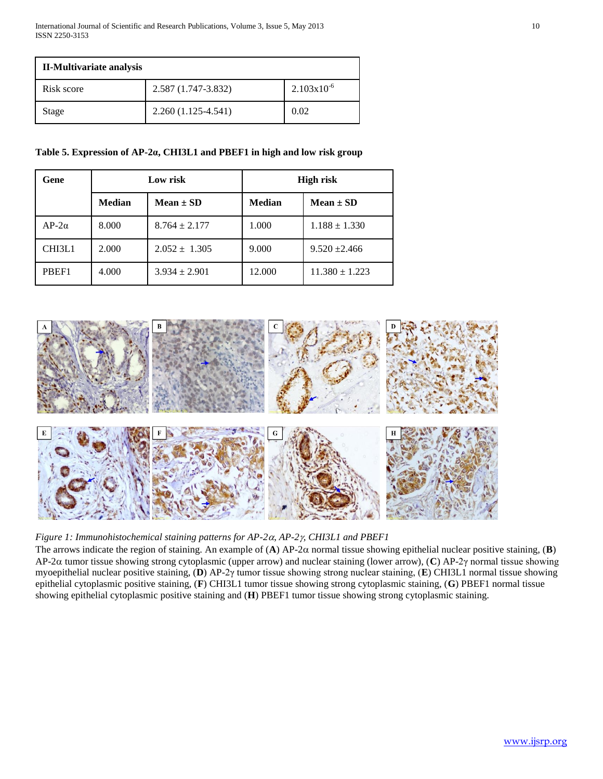| <b>II-Multivariate analysis</b> |                      |                        |  |
|---------------------------------|----------------------|------------------------|--|
| Risk score                      | 2.587 (1.747-3.832)  | $2.103 \times 10^{-6}$ |  |
| Stage                           | $2.260(1.125-4.541)$ | 0.02                   |  |

## **Table 5. Expression of AP-2α, CHI3L1 and PBEF1 in high and low risk group**

| Gene         | Low risk      |                   | <b>High risk</b> |                    |
|--------------|---------------|-------------------|------------------|--------------------|
|              | <b>Median</b> | $Mean \pm SD$     | <b>Median</b>    | $Mean \pm SD$      |
| $AP-2\alpha$ | 8.000         | $8.764 \pm 2.177$ | 1.000            | $1.188 \pm 1.330$  |
| CHI3L1       | 2.000         | $2.052 \pm 1.305$ | 9.000            | $9.520 \pm 2.466$  |
| PBEF1        | 4.000         | $3.934 \pm 2.901$ | 12.000           | $11.380 \pm 1.223$ |



*Figure 1: Immunohistochemical staining patterns for AP-2, AP-2, CHI3L1 and PBEF1*

The arrows indicate the region of staining. An example of  $(A)$  AP-2 $\alpha$  normal tissue showing epithelial nuclear positive staining,  $(B)$ AP-2α tumor tissue showing strong cytoplasmic (upper arrow) and nuclear staining (lower arrow), (C) AP-2γ normal tissue showing myoepithelial nuclear positive staining, (**D**) AP-2γ tumor tissue showing strong nuclear staining, (**E**) CHI3L1 normal tissue showing epithelial cytoplasmic positive staining, (**F**) CHI3L1 tumor tissue showing strong cytoplasmic staining, (**G**) PBEF1 normal tissue showing epithelial cytoplasmic positive staining and (**H**) PBEF1 tumor tissue showing strong cytoplasmic staining.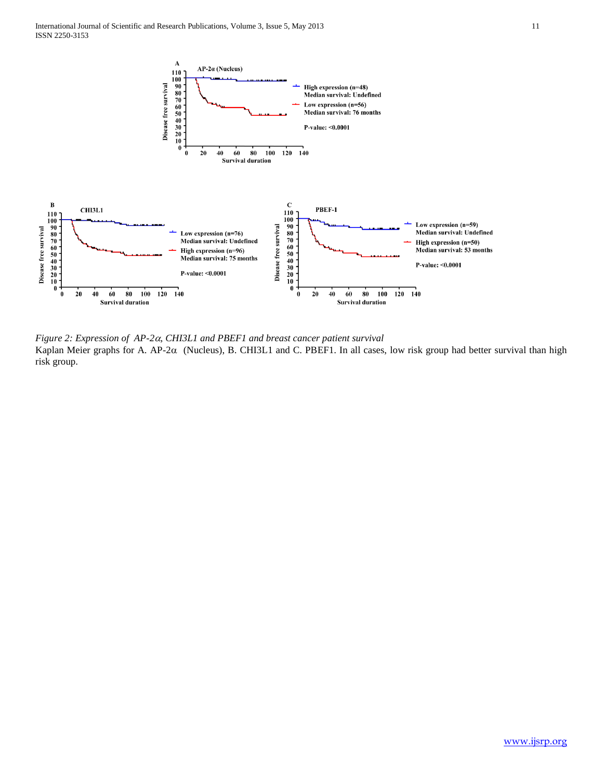

*Figure 2: Expression of AP-2, CHI3L1 and PBEF1 and breast cancer patient survival* Kaplan Meier graphs for A. AP-2 $\alpha$  (Nucleus), B. CHI3L1 and C. PBEF1. In all cases, low risk group had better survival than high risk group.